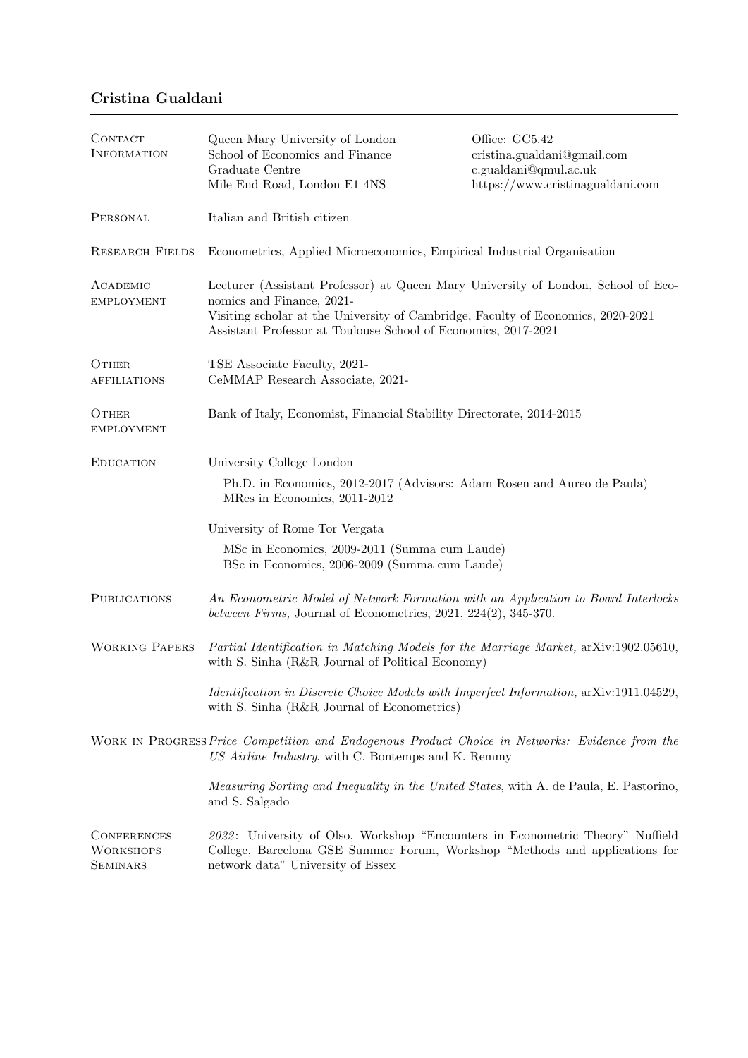## Cristina Gualdani

| CONTACT<br><b>INFORMATION</b>                             | Queen Mary University of London<br>School of Economics and Finance<br>Graduate Centre<br>Mile End Road, London E1 4NS                                                                                                                                                | Office: GC5.42<br>cristina.gualdani@gmail.com<br>c.gualdani@qmul.ac.uk<br>https://www.cristinagualdani.com |
|-----------------------------------------------------------|----------------------------------------------------------------------------------------------------------------------------------------------------------------------------------------------------------------------------------------------------------------------|------------------------------------------------------------------------------------------------------------|
| PERSONAL                                                  | Italian and British citizen                                                                                                                                                                                                                                          |                                                                                                            |
| <b>RESEARCH FIELDS</b>                                    | Econometrics, Applied Microeconomics, Empirical Industrial Organisation                                                                                                                                                                                              |                                                                                                            |
| ACADEMIC<br><b>EMPLOYMENT</b>                             | Lecturer (Assistant Professor) at Queen Mary University of London, School of Eco-<br>nomics and Finance, 2021-<br>Visiting scholar at the University of Cambridge, Faculty of Economics, 2020-2021<br>Assistant Professor at Toulouse School of Economics, 2017-2021 |                                                                                                            |
| OTHER<br><b>AFFILIATIONS</b>                              | TSE Associate Faculty, 2021-<br>CeMMAP Research Associate, 2021-                                                                                                                                                                                                     |                                                                                                            |
| OTHER<br><b>EMPLOYMENT</b>                                | Bank of Italy, Economist, Financial Stability Directorate, 2014-2015                                                                                                                                                                                                 |                                                                                                            |
| <b>EDUCATION</b>                                          | University College London                                                                                                                                                                                                                                            |                                                                                                            |
|                                                           | Ph.D. in Economics, 2012-2017 (Advisors: Adam Rosen and Aureo de Paula)<br>MRes in Economics, 2011-2012                                                                                                                                                              |                                                                                                            |
|                                                           | University of Rome Tor Vergata                                                                                                                                                                                                                                       |                                                                                                            |
|                                                           | MSc in Economics, 2009-2011 (Summa cum Laude)<br>BSc in Economics, 2006-2009 (Summa cum Laude)                                                                                                                                                                       |                                                                                                            |
| <b>PUBLICATIONS</b>                                       | An Econometric Model of Network Formation with an Application to Board Interlocks<br>between Firms, Journal of Econometrics, $2021$ , $224(2)$ , $345-370$ .                                                                                                         |                                                                                                            |
| <b>WORKING PAPERS</b>                                     | Partial Identification in Matching Models for the Marriage Market, arXiv:1902.05610,<br>with S. Sinha (R&R Journal of Political Economy)                                                                                                                             |                                                                                                            |
|                                                           | <i>Identification in Discrete Choice Models with Imperfect Information, arXiv:1911.04529,</i><br>with S. Sinha (R&R Journal of Econometrics)                                                                                                                         |                                                                                                            |
|                                                           | WORK IN PROGRESS Price Competition and Endogenous Product Choice in Networks: Evidence from the<br>US Airline Industry, with C. Bontemps and K. Remmy                                                                                                                |                                                                                                            |
|                                                           | <i>Measuring Sorting and Inequality in the United States, with A. de Paula, E. Pastorino,</i><br>and S. Salgado                                                                                                                                                      |                                                                                                            |
| <b>CONFERENCES</b><br><b>WORKSHOPS</b><br><b>SEMINARS</b> | 2022: University of Olso, Workshop "Encounters in Econometric Theory" Nuffield<br>College, Barcelona GSE Summer Forum, Workshop "Methods and applications for<br>network data" University of Essex                                                                   |                                                                                                            |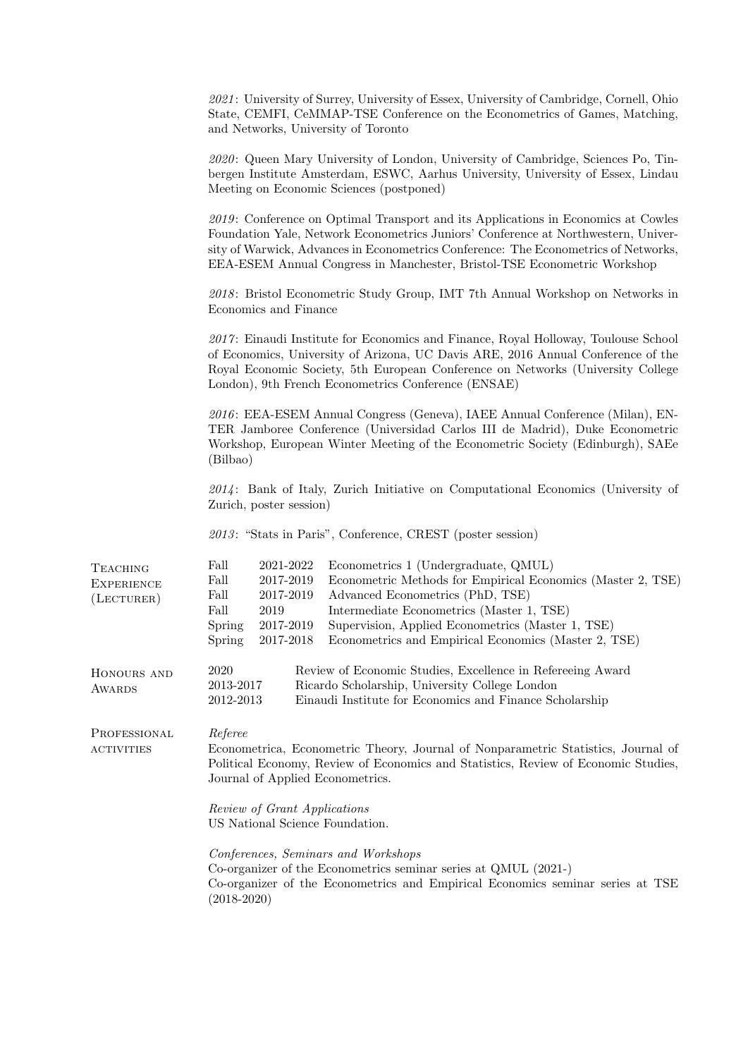|                                                          | 2021: University of Surrey, University of Essex, University of Cambridge, Cornell, Ohio<br>State, CEMFI, CeMMAP-TSE Conference on the Econometrics of Games, Matching,<br>and Networks, University of Toronto                                                                                                                                                                                                                  |  |
|----------------------------------------------------------|--------------------------------------------------------------------------------------------------------------------------------------------------------------------------------------------------------------------------------------------------------------------------------------------------------------------------------------------------------------------------------------------------------------------------------|--|
|                                                          | 2020: Queen Mary University of London, University of Cambridge, Sciences Po, Tin-<br>bergen Institute Amsterdam, ESWC, Aarhus University, University of Essex, Lindau<br>Meeting on Economic Sciences (postponed)                                                                                                                                                                                                              |  |
|                                                          | 2019: Conference on Optimal Transport and its Applications in Economics at Cowles<br>Foundation Yale, Network Econometrics Juniors' Conference at Northwestern, Univer-<br>sity of Warwick, Advances in Econometrics Conference: The Econometrics of Networks,<br>EEA-ESEM Annual Congress in Manchester, Bristol-TSE Econometric Workshop                                                                                     |  |
|                                                          | 2018: Bristol Econometric Study Group, IMT 7th Annual Workshop on Networks in<br>Economics and Finance                                                                                                                                                                                                                                                                                                                         |  |
|                                                          | 2017: Einaudi Institute for Economics and Finance, Royal Holloway, Toulouse School<br>of Economics, University of Arizona, UC Davis ARE, 2016 Annual Conference of the<br>Royal Economic Society, 5th European Conference on Networks (University College<br>London), 9th French Econometrics Conference (ENSAE)                                                                                                               |  |
|                                                          | 2016: EEA-ESEM Annual Congress (Geneva), IAEE Annual Conference (Milan), EN-<br>TER Jamboree Conference (Universidad Carlos III de Madrid), Duke Econometric<br>Workshop, European Winter Meeting of the Econometric Society (Edinburgh), SAEe<br>(Bilbao)                                                                                                                                                                     |  |
|                                                          | $2014$ : Bank of Italy, Zurich Initiative on Computational Economics (University of<br>Zurich, poster session)                                                                                                                                                                                                                                                                                                                 |  |
|                                                          | 2013: "Stats in Paris", Conference, CREST (poster session)                                                                                                                                                                                                                                                                                                                                                                     |  |
| <b>TEACHING</b><br><b>EXPERIENCE</b><br>$($ LECTURER $)$ | Fall<br>2021-2022<br>Econometrics 1 (Undergraduate, QMUL)<br>Fall<br>2017-2019<br>Econometric Methods for Empirical Economics (Master 2, TSE)<br>Fall<br>2017-2019<br>Advanced Econometrics (PhD, TSE)<br>Fall<br>2019<br>Intermediate Econometrics (Master 1, TSE)<br>Supervision, Applied Econometrics (Master 1, TSE)<br>Spring<br>2017-2019<br>2017-2018<br>Econometrics and Empirical Economics (Master 2, TSE)<br>Spring |  |
| HONOURS AND<br>AWARDS                                    | 2020<br>Review of Economic Studies, Excellence in Refereeing Award<br>2013-2017<br>Ricardo Scholarship, University College London<br>2012-2013<br>Einaudi Institute for Economics and Finance Scholarship                                                                                                                                                                                                                      |  |
| PROFESSIONAL<br><b>ACTIVITIES</b>                        | Referee<br>Econometrica, Econometric Theory, Journal of Nonparametric Statistics, Journal of<br>Political Economy, Review of Economics and Statistics, Review of Economic Studies,<br>Journal of Applied Econometrics.                                                                                                                                                                                                         |  |
|                                                          | Review of Grant Applications<br>US National Science Foundation.                                                                                                                                                                                                                                                                                                                                                                |  |
|                                                          | Conferences, Seminars and Workshops<br>Co-organizer of the Econometrics seminar series at QMUL (2021-)<br>Co-organizer of the Econometrics and Empirical Economics seminar series at TSE<br>$(2018 - 2020)$                                                                                                                                                                                                                    |  |